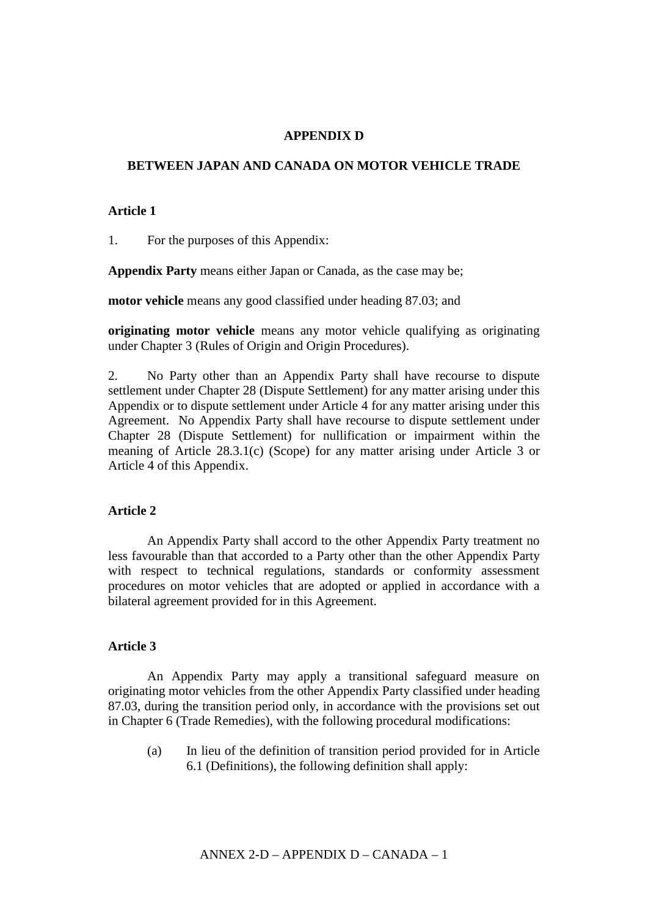# **APPENDIX D**

#### **BETWEEN JAPAN AND CANADA ON MOTOR VEHICLE TRADE**

#### **Article 1**

1. For the purposes of this Appendix:

**Appendix Party** means either Japan or Canada, as the case may be;

**motor vehicle** means any good classified under heading 87.03; and

**originating motor vehicle** means any motor vehicle qualifying as originating under Chapter 3 (Rules of Origin and Origin Procedures).

2. No Party other than an Appendix Party shall have recourse to dispute settlement under Chapter 28 (Dispute Settlement) for any matter arising under this Appendix or to dispute settlement under Article 4 for any matter arising under this Agreement. No Appendix Party shall have recourse to dispute settlement under Chapter 28 (Dispute Settlement) for nullification or impairment within the meaning of Article 28.3.1(c) (Scope) for any matter arising under Article 3 or Article 4 of this Appendix.

## **Article 2**

An Appendix Party shall accord to the other Appendix Party treatment no less favourable than that accorded to a Party other than the other Appendix Party with respect to technical regulations, standards or conformity assessment procedures on motor vehicles that are adopted or applied in accordance with a bilateral agreement provided for in this Agreement.

#### **Article 3**

An Appendix Party may apply a transitional safeguard measure on originating motor vehicles from the other Appendix Party classified under heading 87.03, during the transition period only, in accordance with the provisions set out in Chapter 6 (Trade Remedies), with the following procedural modifications:

(a) In lieu of the definition of transition period provided for in Article 6.1 (Definitions), the following definition shall apply: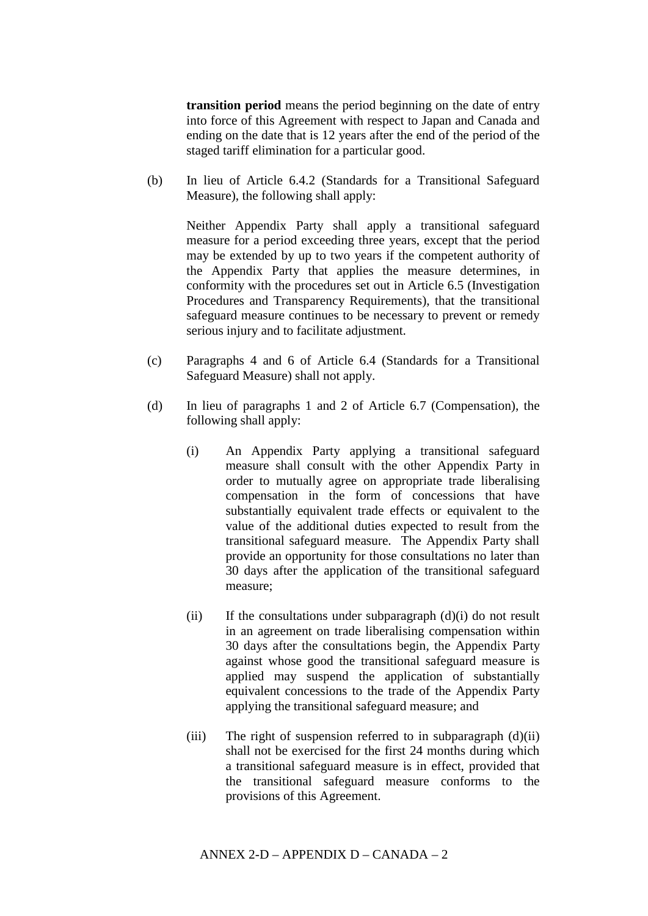**transition period** means the period beginning on the date of entry into force of this Agreement with respect to Japan and Canada and ending on the date that is 12 years after the end of the period of the staged tariff elimination for a particular good.

(b) In lieu of Article 6.4.2 (Standards for a Transitional Safeguard Measure), the following shall apply:

Neither Appendix Party shall apply a transitional safeguard measure for a period exceeding three years, except that the period may be extended by up to two years if the competent authority of the Appendix Party that applies the measure determines, in conformity with the procedures set out in Article 6.5 (Investigation Procedures and Transparency Requirements), that the transitional safeguard measure continues to be necessary to prevent or remedy serious injury and to facilitate adjustment.

- (c) Paragraphs 4 and 6 of Article 6.4 (Standards for a Transitional Safeguard Measure) shall not apply.
- (d) In lieu of paragraphs 1 and 2 of Article 6.7 (Compensation), the following shall apply:
	- (i) An Appendix Party applying a transitional safeguard measure shall consult with the other Appendix Party in order to mutually agree on appropriate trade liberalising compensation in the form of concessions that have substantially equivalent trade effects or equivalent to the value of the additional duties expected to result from the transitional safeguard measure. The Appendix Party shall provide an opportunity for those consultations no later than 30 days after the application of the transitional safeguard measure;
	- $(ii)$  If the consultations under subparagraph  $(d)(i)$  do not result in an agreement on trade liberalising compensation within 30 days after the consultations begin, the Appendix Party against whose good the transitional safeguard measure is applied may suspend the application of substantially equivalent concessions to the trade of the Appendix Party applying the transitional safeguard measure; and
	- (iii) The right of suspension referred to in subparagraph  $(d)(ii)$ shall not be exercised for the first 24 months during which a transitional safeguard measure is in effect, provided that the transitional safeguard measure conforms to the provisions of this Agreement.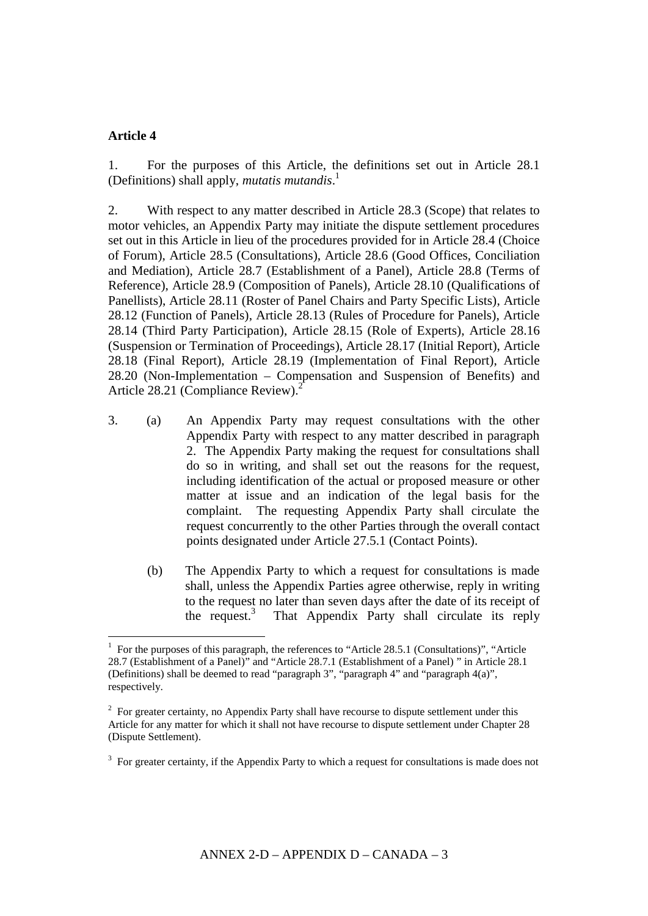## **Article 4**

<u>.</u>

1. For the purposes of this Article, the definitions set out in Article 28.1 (Definitions) shall apply, *mutatis mutandis*. 1

2. With respect to any matter described in Article 28.3 (Scope) that relates to motor vehicles, an Appendix Party may initiate the dispute settlement procedures set out in this Article in lieu of the procedures provided for in Article 28.4 (Choice of Forum), Article 28.5 (Consultations), Article 28.6 (Good Offices, Conciliation and Mediation), Article 28.7 (Establishment of a Panel), Article 28.8 (Terms of Reference), Article 28.9 (Composition of Panels), Article 28.10 (Qualifications of Panellists), Article 28.11 (Roster of Panel Chairs and Party Specific Lists), Article 28.12 (Function of Panels), Article 28.13 (Rules of Procedure for Panels), Article 28.14 (Third Party Participation), Article 28.15 (Role of Experts), Article 28.16 (Suspension or Termination of Proceedings), Article 28.17 (Initial Report), Article 28.18 (Final Report), Article 28.19 (Implementation of Final Report), Article 28.20 (Non-Implementation – Compensation and Suspension of Benefits) and Article 28.21 (Compliance Review). 2

- 3. (a) An Appendix Party may request consultations with the other Appendix Party with respect to any matter described in paragraph 2. The Appendix Party making the request for consultations shall do so in writing, and shall set out the reasons for the request, including identification of the actual or proposed measure or other matter at issue and an indication of the legal basis for the complaint. The requesting Appendix Party shall circulate the request concurrently to the other Parties through the overall contact points designated under Article 27.5.1 (Contact Points).
	- (b) The Appendix Party to which a request for consultations is made shall, unless the Appendix Parties agree otherwise, reply in writing to the request no later than seven days after the date of its receipt of the request. 3 That Appendix Party shall circulate its reply

<sup>1</sup> For the purposes of this paragraph, the references to "Article 28.5.1 (Consultations)", "Article 28.7 (Establishment of a Panel)" and "Article 28.7.1 (Establishment of a Panel) " in Article 28.1 (Definitions) shall be deemed to read "paragraph 3", "paragraph 4" and "paragraph 4(a)", respectively.

 $2^2$  For greater certainty, no Appendix Party shall have recourse to dispute settlement under this Article for any matter for which it shall not have recourse to dispute settlement under Chapter 28 (Dispute Settlement).

 $3$  For greater certainty, if the Appendix Party to which a request for consultations is made does not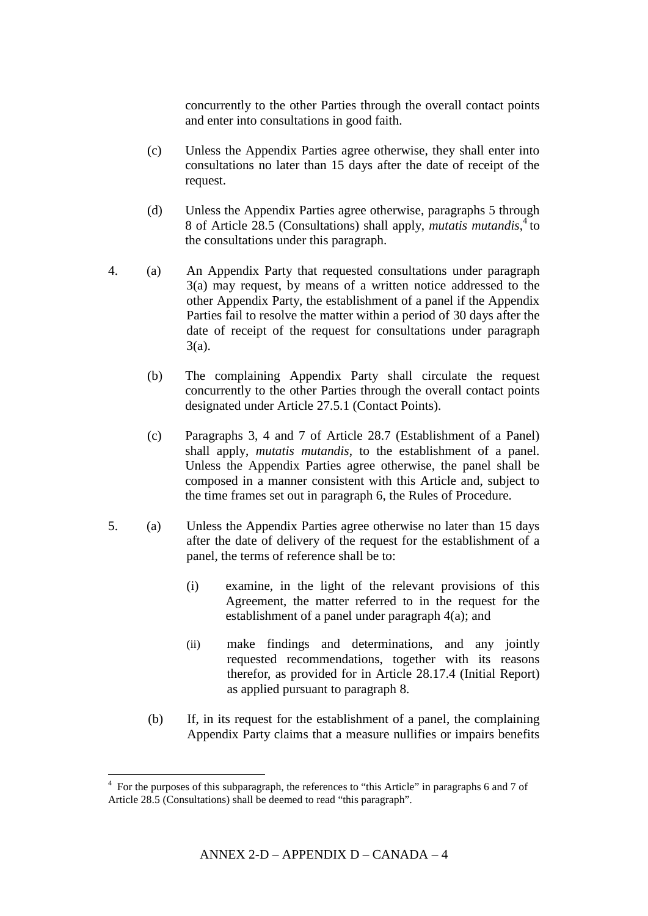concurrently to the other Parties through the overall contact points and enter into consultations in good faith.

- (c) Unless the Appendix Parties agree otherwise, they shall enter into consultations no later than 15 days after the date of receipt of the request.
- (d) Unless the Appendix Parties agree otherwise, paragraphs 5 through 8 of Article 28.5 (Consultations) shall apply, *mutatis mutandis*, 4 to the consultations under this paragraph.
- 4. (a) An Appendix Party that requested consultations under paragraph 3(a) may request, by means of a written notice addressed to the other Appendix Party, the establishment of a panel if the Appendix Parties fail to resolve the matter within a period of 30 days after the date of receipt of the request for consultations under paragraph 3(a).
	- (b) The complaining Appendix Party shall circulate the request concurrently to the other Parties through the overall contact points designated under Article 27.5.1 (Contact Points).
	- (c) Paragraphs 3, 4 and 7 of Article 28.7 (Establishment of a Panel) shall apply, *mutatis mutandis*, to the establishment of a panel. Unless the Appendix Parties agree otherwise, the panel shall be composed in a manner consistent with this Article and, subject to the time frames set out in paragraph 6, the Rules of Procedure.
- 5. (a) Unless the Appendix Parties agree otherwise no later than 15 days after the date of delivery of the request for the establishment of a panel, the terms of reference shall be to:
	- (i) examine, in the light of the relevant provisions of this Agreement, the matter referred to in the request for the establishment of a panel under paragraph 4(a); and
	- (ii) make findings and determinations, and any jointly requested recommendations, together with its reasons therefor, as provided for in Article 28.17.4 (Initial Report) as applied pursuant to paragraph 8.
	- (b) If, in its request for the establishment of a panel, the complaining Appendix Party claims that a measure nullifies or impairs benefits

The subset of this subparagraph, the references to "this Article" in paragraphs 6 and 7 of 4 and 7 of Article 28.5 (Consultations) shall be deemed to read "this paragraph".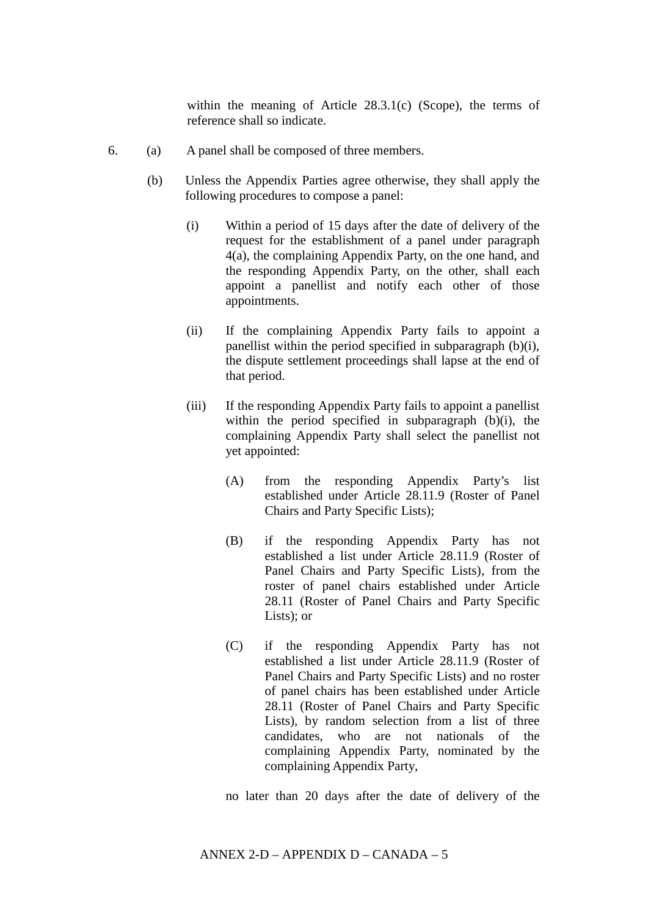within the meaning of Article 28.3.1(c) (Scope), the terms of reference shall so indicate.

- 6. (a) A panel shall be composed of three members.
	- (b) Unless the Appendix Parties agree otherwise, they shall apply the following procedures to compose a panel:
		- (i) Within a period of 15 days after the date of delivery of the request for the establishment of a panel under paragraph 4(a), the complaining Appendix Party, on the one hand, and the responding Appendix Party, on the other, shall each appoint a panellist and notify each other of those appointments.
		- (ii) If the complaining Appendix Party fails to appoint a panellist within the period specified in subparagraph (b)(i), the dispute settlement proceedings shall lapse at the end of that period.
		- (iii) If the responding Appendix Party fails to appoint a panellist within the period specified in subparagraph (b)(i), the complaining Appendix Party shall select the panellist not yet appointed:
			- (A) from the responding Appendix Party's list established under Article 28.11.9 (Roster of Panel Chairs and Party Specific Lists);
			- (B) if the responding Appendix Party has not established a list under Article 28.11.9 (Roster of Panel Chairs and Party Specific Lists), from the roster of panel chairs established under Article 28.11 (Roster of Panel Chairs and Party Specific Lists); or
			- (C) if the responding Appendix Party has not established a list under Article 28.11.9 (Roster of Panel Chairs and Party Specific Lists) and no roster of panel chairs has been established under Article 28.11 (Roster of Panel Chairs and Party Specific Lists), by random selection from a list of three candidates, who are not nationals of the complaining Appendix Party, nominated by the complaining Appendix Party,

no later than 20 days after the date of delivery of the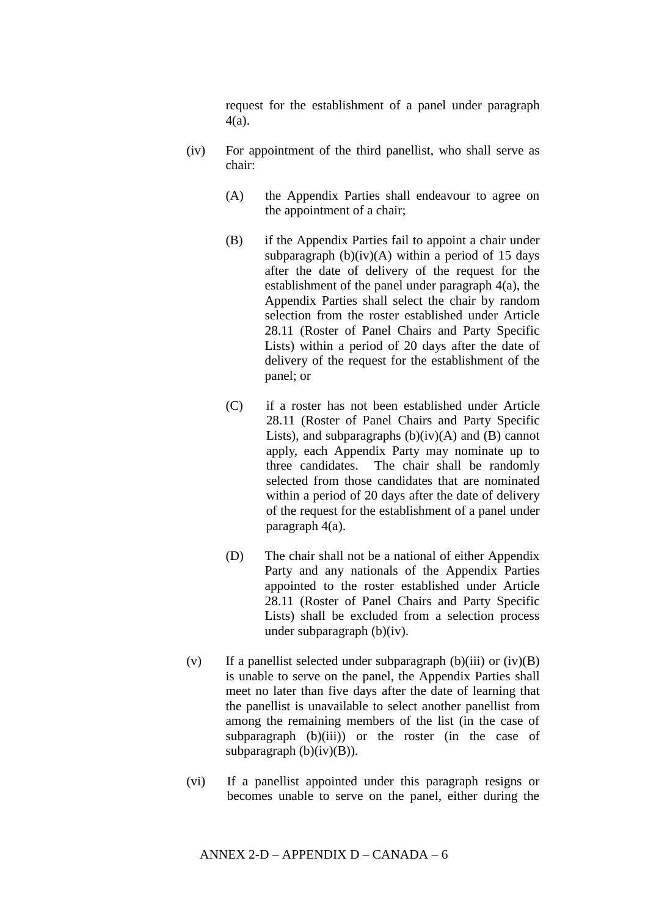request for the establishment of a panel under paragraph 4(a).

- (iv) For appointment of the third panellist, who shall serve as chair:
	- (A) the Appendix Parties shall endeavour to agree on the appointment of a chair;
	- (B) if the Appendix Parties fail to appoint a chair under subparagraph  $(b)(iv)(A)$  within a period of 15 days after the date of delivery of the request for the establishment of the panel under paragraph 4(a), the Appendix Parties shall select the chair by random selection from the roster established under Article 28.11 (Roster of Panel Chairs and Party Specific Lists) within a period of 20 days after the date of delivery of the request for the establishment of the panel; or
	- (C) if a roster has not been established under Article 28.11 (Roster of Panel Chairs and Party Specific Lists), and subparagraphs  $(b)(iv)(A)$  and  $(B)$  cannot apply, each Appendix Party may nominate up to three candidates. The chair shall be randomly selected from those candidates that are nominated within a period of 20 days after the date of delivery of the request for the establishment of a panel under paragraph 4(a).
	- (D) The chair shall not be a national of either Appendix Party and any nationals of the Appendix Parties appointed to the roster established under Article 28.11 (Roster of Panel Chairs and Party Specific Lists) shall be excluded from a selection process under subparagraph (b)(iv).
- (v) If a panellist selected under subparagraph (b)(iii) or (iv)(B) is unable to serve on the panel, the Appendix Parties shall meet no later than five days after the date of learning that the panellist is unavailable to select another panellist from among the remaining members of the list (in the case of subparagraph  $(b)(iii)$  or the roster (in the case of subparagraph  $(b)(iv)(B)$ ).
- (vi) If a panellist appointed under this paragraph resigns or becomes unable to serve on the panel, either during the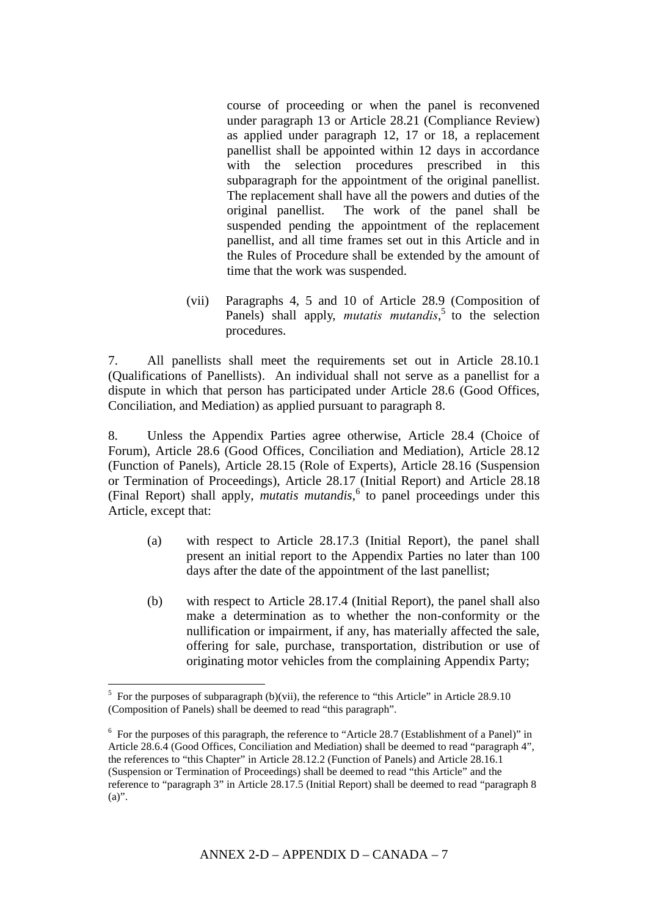course of proceeding or when the panel is reconvened under paragraph 13 or Article 28.21 (Compliance Review) as applied under paragraph 12, 17 or 18, a replacement panellist shall be appointed within 12 days in accordance with the selection procedures prescribed in this subparagraph for the appointment of the original panellist. The replacement shall have all the powers and duties of the original panellist. The work of the panel shall be suspended pending the appointment of the replacement panellist, and all time frames set out in this Article and in the Rules of Procedure shall be extended by the amount of time that the work was suspended.

(vii) Paragraphs 4, 5 and 10 of Article 28.9 (Composition of Panels) shall apply, *mutatis mutandis*<sup>5</sup> to the selection procedures.

7. All panellists shall meet the requirements set out in Article 28.10.1 (Qualifications of Panellists). An individual shall not serve as a panellist for a dispute in which that person has participated under Article 28.6 (Good Offices, Conciliation, and Mediation) as applied pursuant to paragraph 8.

8. Unless the Appendix Parties agree otherwise, Article 28.4 (Choice of Forum), Article 28.6 (Good Offices, Conciliation and Mediation), Article 28.12 (Function of Panels), Article 28.15 (Role of Experts), Article 28.16 (Suspension or Termination of Proceedings), Article 28.17 (Initial Report) and Article 28.18 (Final Report) shall apply, *mutatis mutandis*, 6 to panel proceedings under this Article, except that:

- (a) with respect to Article 28.17.3 (Initial Report), the panel shall present an initial report to the Appendix Parties no later than 100 days after the date of the appointment of the last panellist;
- (b) with respect to Article 28.17.4 (Initial Report), the panel shall also make a determination as to whether the non-conformity or the nullification or impairment, if any, has materially affected the sale, offering for sale, purchase, transportation, distribution or use of originating motor vehicles from the complaining Appendix Party;

1

 $5$  For the purposes of subparagraph (b)(vii), the reference to "this Article" in Article 28.9.10 (Composition of Panels) shall be deemed to read "this paragraph".

<sup>&</sup>lt;sup>6</sup> For the purposes of this paragraph, the reference to "Article 28.7 (Establishment of a Panel)" in Article 28.6.4 (Good Offices, Conciliation and Mediation) shall be deemed to read "paragraph 4", the references to "this Chapter" in Article 28.12.2 (Function of Panels) and Article 28.16.1 (Suspension or Termination of Proceedings) shall be deemed to read "this Article" and the reference to "paragraph 3" in Article 28.17.5 (Initial Report) shall be deemed to read "paragraph 8  $(a)$ ".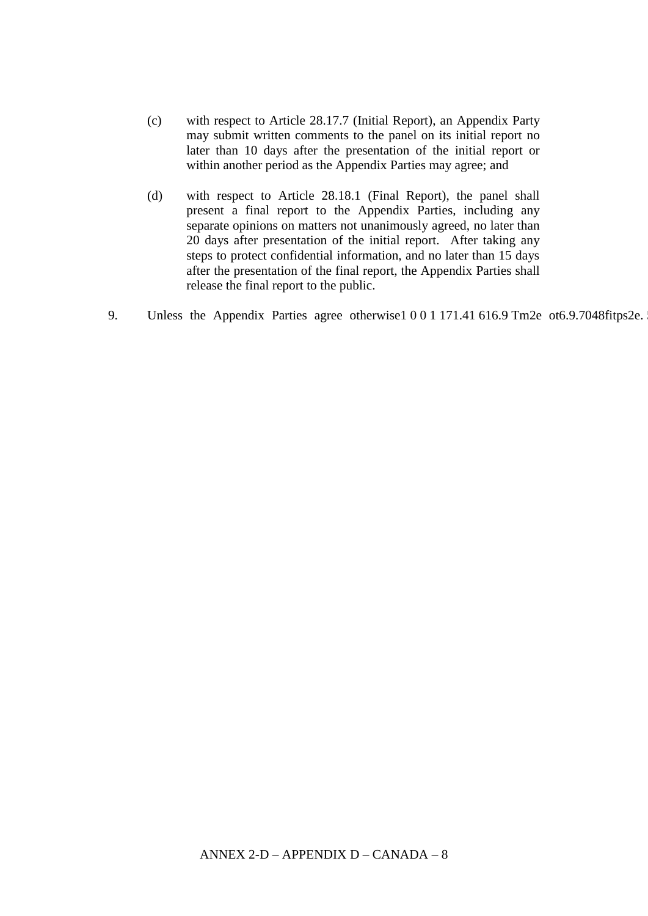- (c) with respect to Article 28.17.7 (Initial Report), an Appendix Party may submit written comments to the panel on its initial report no later than 10 days after the presentation of the initial report or within another period as the Appendix Parties may agree; and
- (d) with respect to Article 28.18.1 (Final Report), the panel shall present a final report to the Appendix Parties, including any separate opinions on matters not unanimously agreed, no later than 20 days after presentation of the initial report. After taking any steps to protect confidential information, and no later than 15 days after the presentation of the final report, the Appendix Parties shall release the final report to the public.
- 9. Unless the Appendix Parties agree otherwise1 0 0 1 171.41 616.9 Tm2e ot6.9.7048fitps2e.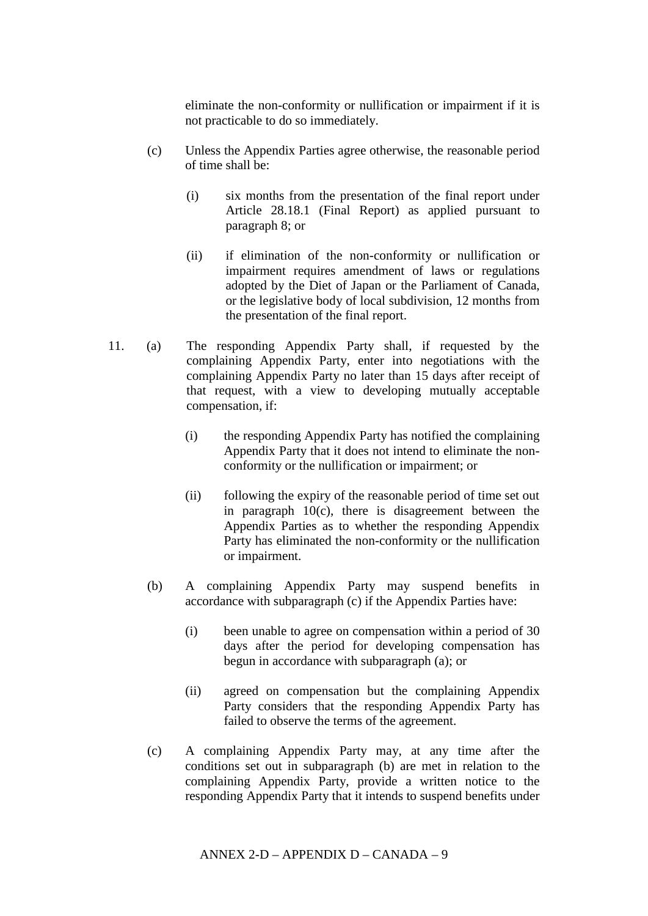eliminate the non-conformity or nullification or impairment if it is not practicable to do so immediately.

- (c) Unless the Appendix Parties agree otherwise, the reasonable period of time shall be:
	- (i) six months from the presentation of the final report under Article 28.18.1 (Final Report) as applied pursuant to paragraph 8; or
	- (ii) if elimination of the non-conformity or nullification or impairment requires amendment of laws or regulations adopted by the Diet of Japan or the Parliament of Canada, or the legislative body of local subdivision, 12 months from the presentation of the final report.
- 11. (a) The responding Appendix Party shall, if requested by the complaining Appendix Party, enter into negotiations with the complaining Appendix Party no later than 15 days after receipt of that request, with a view to developing mutually acceptable compensation, if:
	- (i) the responding Appendix Party has notified the complaining Appendix Party that it does not intend to eliminate the nonconformity or the nullification or impairment; or
	- (ii) following the expiry of the reasonable period of time set out in paragraph  $10(c)$ , there is disagreement between the Appendix Parties as to whether the responding Appendix Party has eliminated the non-conformity or the nullification or impairment.
	- (b) A complaining Appendix Party may suspend benefits in accordance with subparagraph (c) if the Appendix Parties have:
		- (i) been unable to agree on compensation within a period of 30 days after the period for developing compensation has begun in accordance with subparagraph (a); or
		- (ii) agreed on compensation but the complaining Appendix Party considers that the responding Appendix Party has failed to observe the terms of the agreement.
	- (c) A complaining Appendix Party may, at any time after the conditions set out in subparagraph (b) are met in relation to the complaining Appendix Party, provide a written notice to the responding Appendix Party that it intends to suspend benefits under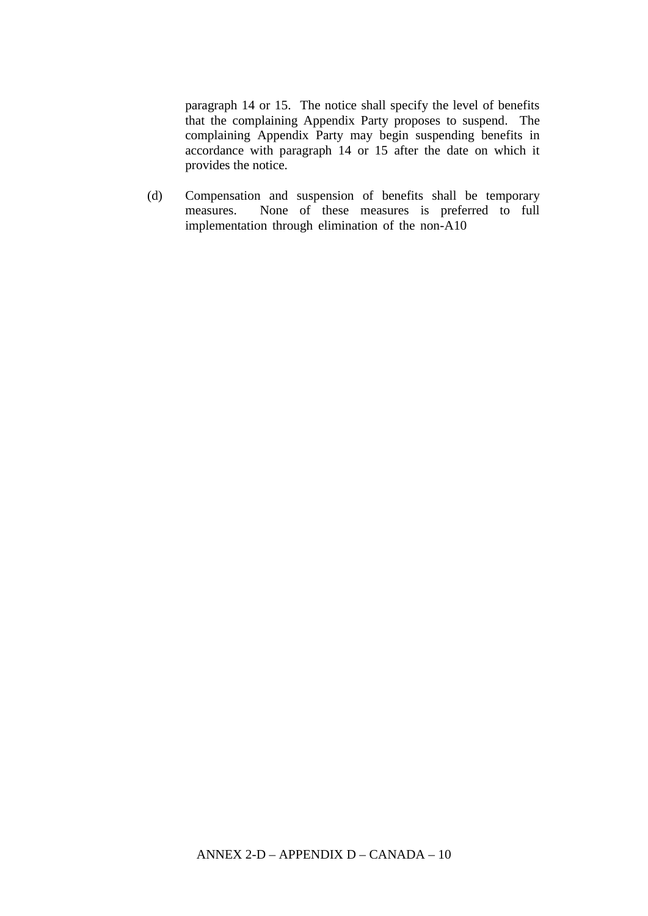paragraph 14 or 15. The notice shall specify the level of benefits that the complaining Appendix Party proposes to suspend. The complaining Appendix Party may begin suspending benefits in accordance with paragraph 14 or 15 after the date on which it provides the notice.

(d) Compensation and suspension of benefits shall be temporary measures. None of these measures is preferred to full implementation through elimination of the non-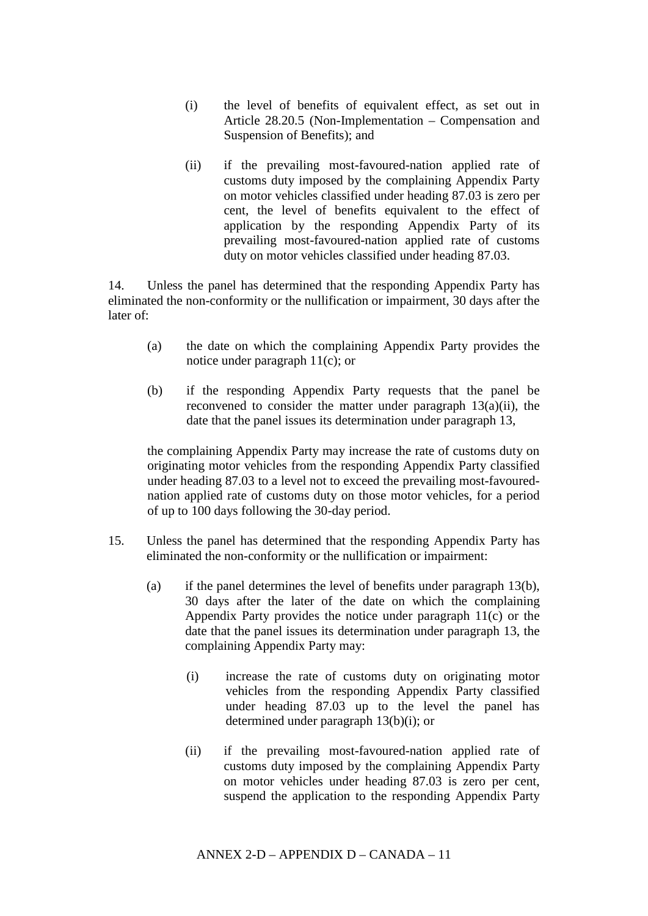- (i) the level of benefits of equivalent effect, as set out in Article 28.20.5 (Non-Implementation – Compensation and Suspension of Benefits); and
- (ii) if the prevailing most-favoured-nation applied rate of customs duty imposed by the complaining Appendix Party on motor vehicles classified under heading 87.03 is zero per cent, the level of benefits equivalent to the effect of application by the responding Appendix Party of its prevailing most-favoured-nation applied rate of customs duty on motor vehicles classified under heading 87.03.

14. Unless the panel has determined that the responding Appendix Party has eliminated the non-conformity or the nullification or impairment, 30 days after the later of:

- (a) the date on which the complaining Appendix Party provides the notice under paragraph 11(c); or
- (b) if the responding Appendix Party requests that the panel be reconvened to consider the matter under paragraph 13(a)(ii), the date that the panel issues its determination under paragraph 13,

the complaining Appendix Party may increase the rate of customs duty on originating motor vehicles from the responding Appendix Party classified under heading 87.03 to a level not to exceed the prevailing most-favourednation applied rate of customs duty on those motor vehicles, for a period of up to 100 days following the 30-day period.

- 15. Unless the panel has determined that the responding Appendix Party has eliminated the non-conformity or the nullification or impairment:
	- (a) if the panel determines the level of benefits under paragraph 13(b), 30 days after the later of the date on which the complaining Appendix Party provides the notice under paragraph 11(c) or the date that the panel issues its determination under paragraph 13, the complaining Appendix Party may:
		- (i) increase the rate of customs duty on originating motor vehicles from the responding Appendix Party classified under heading 87.03 up to the level the panel has determined under paragraph 13(b)(i); or
		- (ii) if the prevailing most-favoured-nation applied rate of customs duty imposed by the complaining Appendix Party on motor vehicles under heading 87.03 is zero per cent, suspend the application to the responding Appendix Party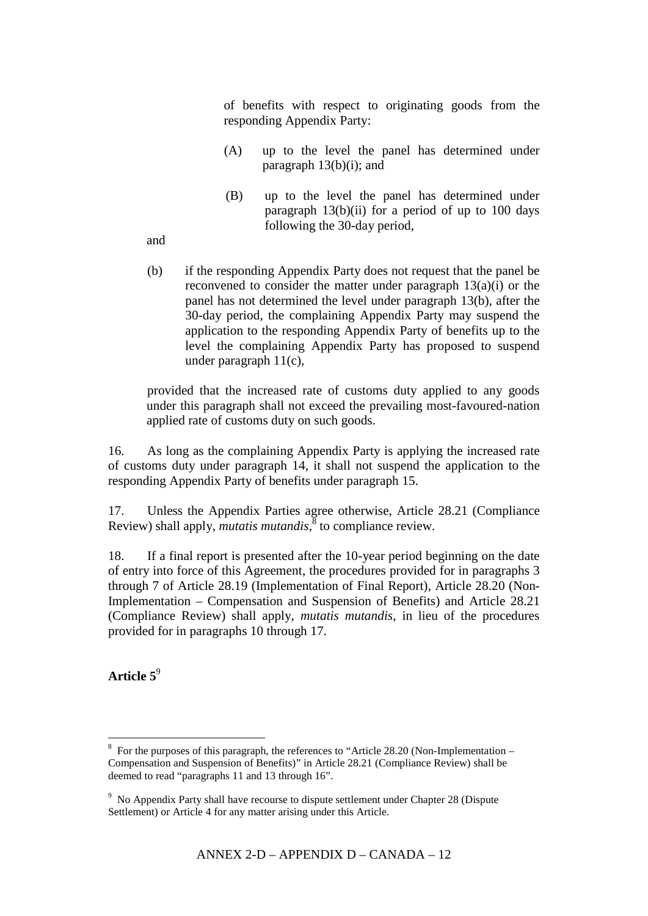of benefits with respect to originating goods from the responding Appendix Party:

- (A) up to the level the panel has determined under paragraph  $13(b)(i)$ ; and
- (B) up to the level the panel has determined under paragraph  $13(b)(ii)$  for a period of up to 100 days following the 30-day period,

and

(b) if the responding Appendix Party does not request that the panel be reconvened to consider the matter under paragraph 13(a)(i) or the panel has not determined the level under paragraph 13(b), after the 30-day period, the complaining Appendix Party may suspend the application to the responding Appendix Party of benefits up to the level the complaining Appendix Party has proposed to suspend under paragraph 11(c),

provided that the increased rate of customs duty applied to any goods under this paragraph shall not exceed the prevailing most-favoured-nation applied rate of customs duty on such goods.

16. As long as the complaining Appendix Party is applying the increased rate of customs duty under paragraph 14, it shall not suspend the application to the responding Appendix Party of benefits under paragraph 15.

17. Unless the Appendix Parties agree otherwise, Article 28.21 (Compliance Review) shall apply, *mutatis mutandis*, 8 to compliance review.

18. If a final report is presented after the 10-year period beginning on the date of entry into force of this Agreement, the procedures provided for in paragraphs 3 through 7 of Article 28.19 (Implementation of Final Report), Article 28.20 (Non-Implementation – Compensation and Suspension of Benefits) and Article 28.21 (Compliance Review) shall apply, *mutatis mutandis*, in lieu of the procedures provided for in paragraphs 10 through 17.

**Article 5** 9

1

<sup>&</sup>lt;sup>8</sup> For the purposes of this paragraph, the references to "Article 28.20 (Non-Implementation – Compensation and Suspension of Benefits)" in Article 28.21 (Compliance Review) shall be deemed to read "paragraphs 11 and 13 through 16".

<sup>&</sup>lt;sup>9</sup> No Appendix Party shall have recourse to dispute settlement under Chapter 28 (Dispute Settlement) or Article 4 for any matter arising under this Article.